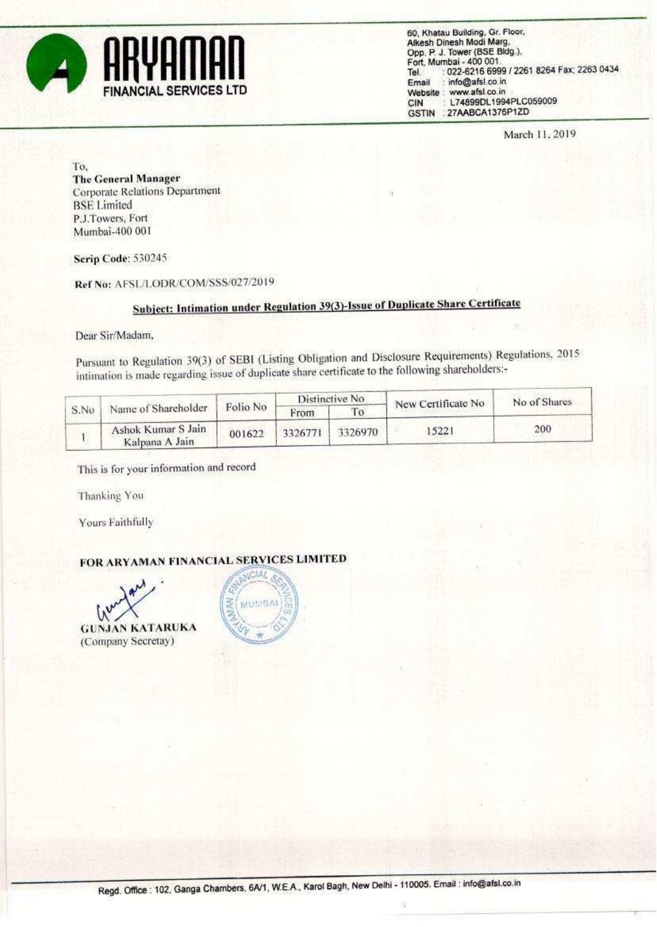

60, Khatau Building, Gr. Floor, Alkesh Dinesh Modi Marg Opp. P. J. Tower (BSE Bldg.). Fort, Mumbai - 400 001. : 022-6216 6999 / 2261 8264 Fax: 2263 0434 Tel. : info@afsl.co.in Email Website : www.afsl.co.in L74899DL1994PLC059009 CIN GSTIN : 27AABCA1376P1ZD

March 11, 2019

To. **The General Manager Corporate Relations Department BSE** Limited P.J.Towers, Fort Mumbai-400 001

**Scrip Code: 530245** 

Ref No: AFSL/LODR/COM/SSS/027/2019

## Subject: Intimation under Regulation 39(3)-Issue of Duplicate Share Certificate

Dear Sir/Madam,

Pursuant to Regulation 39(3) of SEBI (Listing Obligation and Disclosure Requirements) Regulations, 2015 intimation is made regarding issue of duplicate share certificate to the following shareholders:-

| S.No | Name of Shareholder                  | Folio No | Distinctive No. |         | New Certificate No | No of Shares |  |
|------|--------------------------------------|----------|-----------------|---------|--------------------|--------------|--|
|      |                                      |          | From            |         |                    |              |  |
|      | Ashok Kumar S Jain<br>Kalpana A Jain | 001622   | 3326771         | 3326970 | 15221              | 200          |  |

This is for your information and record

Thanking You

Yours Faithfully

## FOR ARYAMAN FINANCIAL SERVICES LIMITED